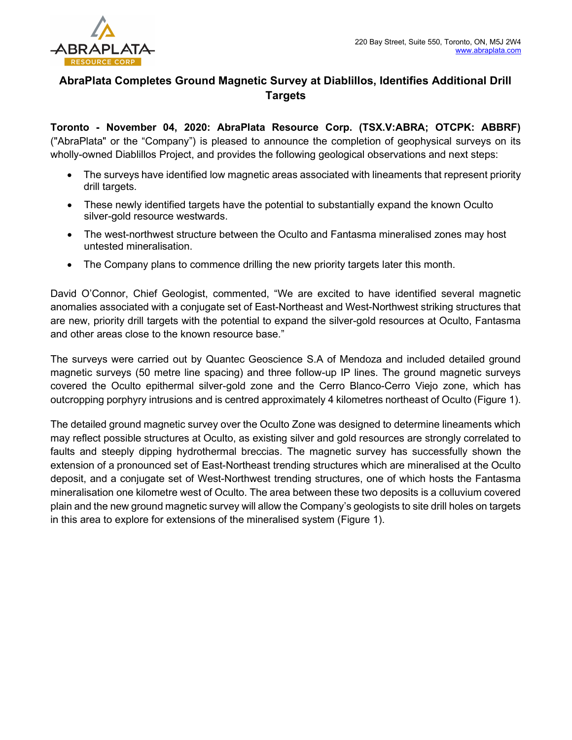

# AbraPlata Completes Ground Magnetic Survey at Diablillos, Identifies Additional Drill Targets

Toronto - November 04, 2020: AbraPlata Resource Corp. (TSX.V:ABRA; OTCPK: ABBRF) ("AbraPlata" or the "Company") is pleased to announce the completion of geophysical surveys on its wholly-owned Diablillos Project, and provides the following geological observations and next steps:

- The surveys have identified low magnetic areas associated with lineaments that represent priority drill targets.
- These newly identified targets have the potential to substantially expand the known Oculto silver-gold resource westwards.
- The west-northwest structure between the Oculto and Fantasma mineralised zones may host untested mineralisation.
- The Company plans to commence drilling the new priority targets later this month.

David O'Connor, Chief Geologist, commented, "We are excited to have identified several magnetic anomalies associated with a conjugate set of East-Northeast and West-Northwest striking structures that are new, priority drill targets with the potential to expand the silver-gold resources at Oculto, Fantasma and other areas close to the known resource base."

The surveys were carried out by Quantec Geoscience S.A of Mendoza and included detailed ground magnetic surveys (50 metre line spacing) and three follow-up IP lines. The ground magnetic surveys covered the Oculto epithermal silver-gold zone and the Cerro Blanco-Cerro Viejo zone, which has outcropping porphyry intrusions and is centred approximately 4 kilometres northeast of Oculto (Figure 1).

The detailed ground magnetic survey over the Oculto Zone was designed to determine lineaments which may reflect possible structures at Oculto, as existing silver and gold resources are strongly correlated to faults and steeply dipping hydrothermal breccias. The magnetic survey has successfully shown the extension of a pronounced set of East-Northeast trending structures which are mineralised at the Oculto deposit, and a conjugate set of West-Northwest trending structures, one of which hosts the Fantasma mineralisation one kilometre west of Oculto. The area between these two deposits is a colluvium covered plain and the new ground magnetic survey will allow the Company's geologists to site drill holes on targets in this area to explore for extensions of the mineralised system (Figure 1).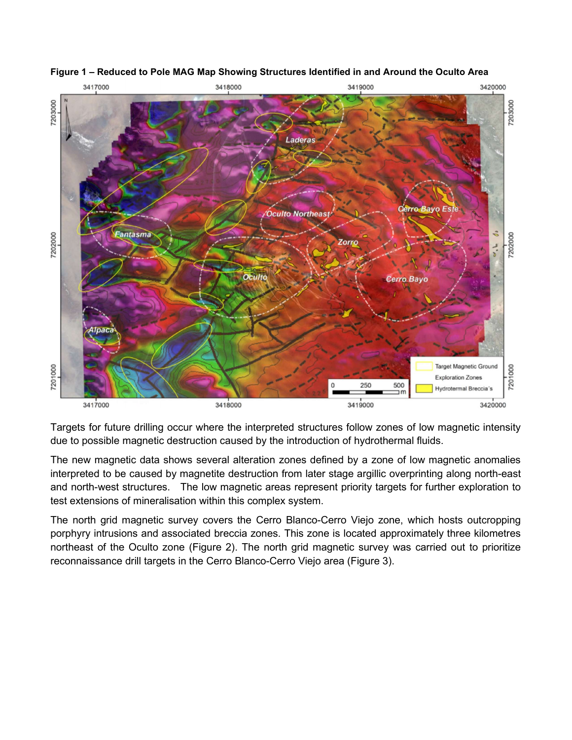

## Figure 1 – Reduced to Pole MAG Map Showing Structures Identified in and Around the Oculto Area

Targets for future drilling occur where the interpreted structures follow zones of low magnetic intensity due to possible magnetic destruction caused by the introduction of hydrothermal fluids.

The new magnetic data shows several alteration zones defined by a zone of low magnetic anomalies interpreted to be caused by magnetite destruction from later stage argillic overprinting along north-east and north-west structures. The low magnetic areas represent priority targets for further exploration to test extensions of mineralisation within this complex system.

The north grid magnetic survey covers the Cerro Blanco-Cerro Viejo zone, which hosts outcropping porphyry intrusions and associated breccia zones. This zone is located approximately three kilometres northeast of the Oculto zone (Figure 2). The north grid magnetic survey was carried out to prioritize reconnaissance drill targets in the Cerro Blanco-Cerro Viejo area (Figure 3).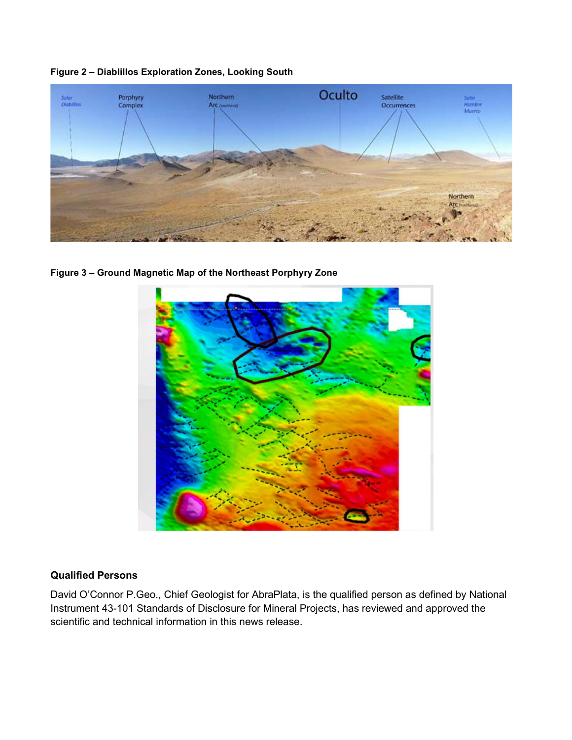



Figure 3 – Ground Magnetic Map of the Northeast Porphyry Zone



## Qualified Persons

David O'Connor P.Geo., Chief Geologist for AbraPlata, is the qualified person as defined by National Instrument 43-101 Standards of Disclosure for Mineral Projects, has reviewed and approved the scientific and technical information in this news release.